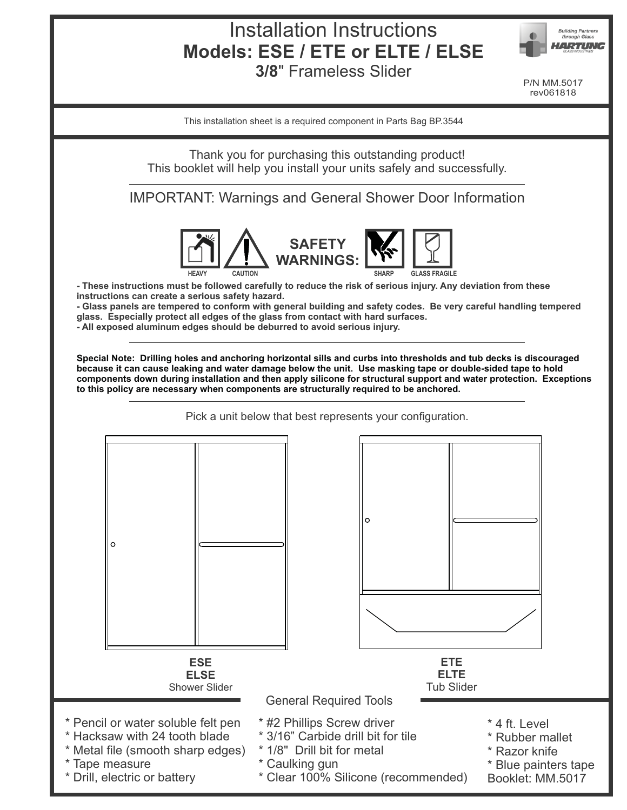# Installation Instructions **Models: ESE / ETE or ELTE / ELSE**





P/N MM.5017 rev061818

This installation sheet is a required component in Parts Bag BP.3544

Thank you for purchasing this outstanding product! This booklet will help you install your units safely and successfully.

IMPORTANT: Warnings and General Shower Door Information



**- These instructions must be followed carefully to reduce the risk of serious injury. Any deviation from these instructions can create a serious safety hazard.**

**- Glass panels are tempered to conform with general building and safety codes. Be very careful handling tempered glass. Especially protect all edges of the glass from contact with hard surfaces.**

**- All exposed aluminum edges should be deburred to avoid serious injury.**

**Special Note: Drilling holes and anchoring horizontal sills and curbs into thresholds and tub decks is discouraged because it can cause leaking and water damage below the unit. Use masking tape or double-sided tape to hold components down during installation and then apply silicone for structural support and water protection. Exceptions to this policy are necessary when components are structurally required to be anchored.** 

Pick a unit below that best represents your configuration.

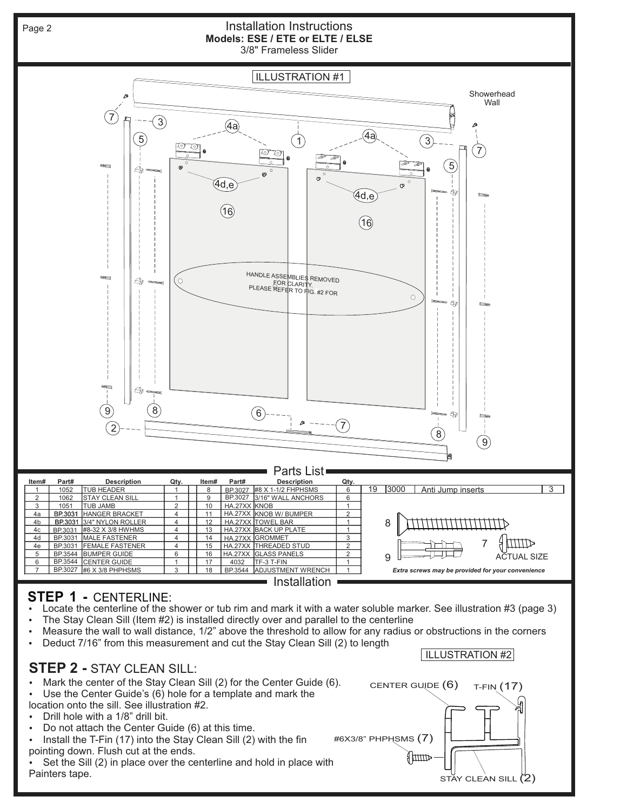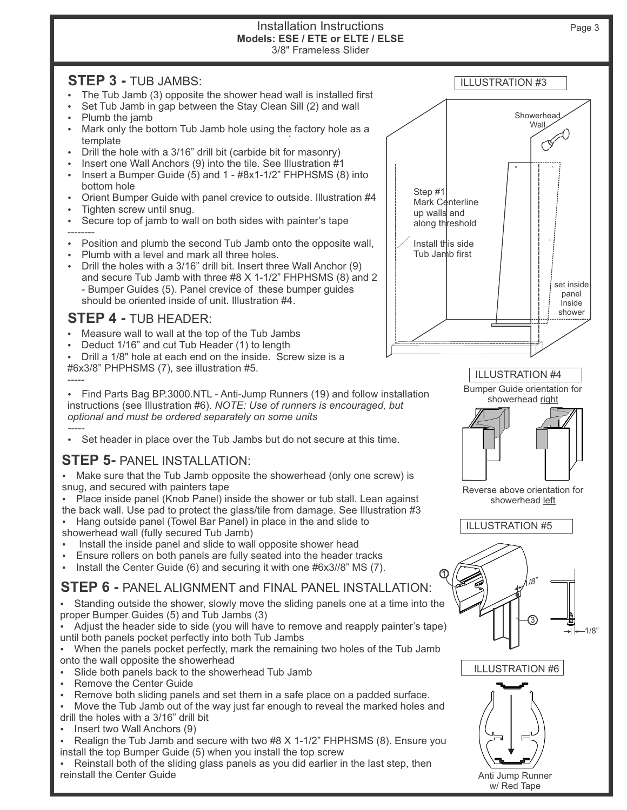#### Installation Instructions 3/8" Frameless Slider **Models: ESE / ETE or ELTE / ELSE**

## **STEP 3 -** TUB JAMBS:

- The Tub Jamb (3) opposite the shower head wall is installed first
- Set Tub Jamb in gap between the Stay Clean Sill (2) and wall
- Plumb the jamb
- Mark only the bottom Tub Jamb hole using the factory hole as a herce that template
- Drill the hole with a 3/16" drill bit (carbide bit for masonry)
- Insert one Wall Anchors (9) into the tile. See Illustration #1
- Insert a Bumper Guide  $(5)$  and 1  $#8x1-1/2"$  FHPHSMS  $(8)$  into bottom hole
- Ÿ Orient Bumper Guide with panel crevice to outside. Illustration #4
- Ÿ Tighten screw until snug.
- Ÿ Secure top of jamb to wall on both sides with painter's tape
- --------
- Position and plumb the second Tub Jamb onto the opposite wall,
- Plumb with a level and mark all three holes.
- Drill the holes with a 3/16" drill bit. Insert three Wall Anchor (9) and secure Tub Jamb with three #8 X 1-1/2" FHPHSMS (8) and 2 - Bumper Guides (5). Panel crevice of these bumper guides should be oriented inside of unit. Illustration #4.

## **STEP 4 -** TUB HEADER:

- Measure wall to wall at the top of the Tub Jambs
- Deduct 1/16" and cut Tub Header (1) to length
- Drill a 1/8" hole at each end on the inside. Screw size is a #6x3/8" PHPHSMS (7), see illustration #5.



ILLUSTRATION #4

Bumper Guide orientation for



Reverse above orientation for showerhead left





Anti Jump Runner w/ Red Tape

#### ----- Find Parts Bag BP.3000.NTL - Anti-Jump Runners (19) and follow installation instructions (see Illustration #6). *NOTE: Use of runners is encouraged, but optional and must be ordered separately on some units*

*-----* Set header in place over the Tub Jambs but do not secure at this time.

# **STEP 5-** PANEL INSTALLATION:

• Make sure that the Tub Jamb opposite the showerhead (only one screw) is snug, and secured with painters tape

• Place inside panel (Knob Panel) inside the shower or tub stall. Lean against the back wall. Use pad to protect the glass/tile from damage. See Illustration #3

Hang outside panel (Towel Bar Panel) in place in the and slide to showerhead wall (fully secured Tub Jamb)

- Install the inside panel and slide to wall opposite shower head
- Ensure rollers on both panels are fully seated into the header tracks
- $\cdot$  Install the Center Guide (6) and securing it with one #6x3//8" MS (7).

**STEP 6 -** PANEL ALIGNMENT and FINAL PANEL INSTALLATION:

Standing outside the shower, slowly move the sliding panels one at a time into the proper Bumper Guides (5) and Tub Jambs (3)

Adjust the header side to side (you will have to remove and reapply painter's tape) until both panels pocket perfectly into both Tub Jambs

• When the panels pocket perfectly, mark the remaining two holes of the Tub Jamb onto the wall opposite the showerhead

- Slide both panels back to the showerhead Tub Jamb
- Remove the Center Guide
- Remove both sliding panels and set them in a safe place on a padded surface.

Move the Tub Jamb out of the way just far enough to reveal the marked holes and drill the holes with a 3/16" drill bit

Insert two Wall Anchors (9)

Realign the Tub Jamb and secure with two  $#8$  X 1-1/2" FHPHSMS (8). Ensure you install the top Bumper Guide (5) when you install the top screw

Reinstall both of the sliding glass panels as you did earlier in the last step, then reinstall the Center Guide